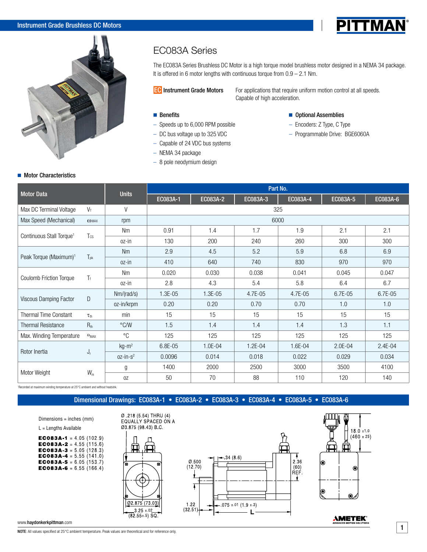# Instrument Grade Brushless DC Motors



# EC083A Series

The EC083A Series Brushless DC Motor is a high torque model brushless motor designed in a NEMA 34 package. It is offered in 6 motor lengths with continuous torque from  $0.9 - 2.1$  Nm.

**EC** Instrument Grade Motors For applications that require uniform motion control at all speeds. Capable of high acceleration.

### **Benefits**

- Speeds up to 6,000 RPM possible
- DC bus voltage up to 325 VDC
- Capable of 24 VDC bus systems
- NEMA 34 package
- 8 pole neodymium design

### ■ Optional Assemblies

- Encoders: Z Type, C Type
- Programmable Drive: BGE6060A

PITTMAN

### **Motor Characteristics**

| <b>Motor Data</b>                    |                           | <b>Units</b>  | Part No. |          |             |          |          |          |  |  |
|--------------------------------------|---------------------------|---------------|----------|----------|-------------|----------|----------|----------|--|--|
|                                      |                           |               | EC083A-1 | EC083A-2 | EC083A-3    | EC083A-4 | EC083A-5 | EC083A-6 |  |  |
| Max DC Terminal Voltage              | $V_T$                     | $\vee$        |          |          | 325         |          |          |          |  |  |
| Max Speed (Mechanical)               | <b>COMAX</b>              | rpm           |          |          | 6000        |          |          |          |  |  |
|                                      | Tcs                       | <b>Nm</b>     | 0.91     | 1.4      | 1.7         | 1.9      | 2.1      | 2.1      |  |  |
| Continuous Stall Torque <sup>1</sup> |                           | oz-in         | 130      | 200      | 240         | 260      | 300      | 300      |  |  |
|                                      |                           | <b>Nm</b>     | 2.9      | 4.5      | 5.2         | 5.9      | 6.8      | 6.9      |  |  |
| Peak Torque (Maximum) <sup>1</sup>   | T <sub>pk</sub>           | $oz-in$       | 410      | 640      | 740         | 830      | 970      | 970      |  |  |
| Coulomb Friction Torque              | $T_{f}$                   | <b>Nm</b>     | 0.020    | 0.030    | 0.038       | 0.041    | 0.045    | 0.047    |  |  |
|                                      |                           | oz-in         | 2.8      | 4.3      | 5.4         | 5.8      | 6.4      | 6.7      |  |  |
|                                      | D                         | Nm/(rad/s)    | 1.3E-05  | 1.3E-05  | 4.7E-05     | 4.7E-05  | 6.7E-05  | 6.7E-05  |  |  |
| Viscous Damping Factor               |                           | oz-in/krpm    | 0.20     | 0.20     | 0.70        | 0.70     | 1.0      | 1.0      |  |  |
| Thermal Time Constant                | $\tau_{th}$               | min           | 15       | 15       | 15          | 15       | 15       | 15       |  |  |
| <b>Thermal Resistance</b>            | $R_{th}$                  | $\degree$ C/W | 1.5      | 1.4      | 1.4         | 1.4      | 1.3      | 1.1      |  |  |
| Max. Winding Temperature             | $\Theta_{MAX}$            | $^{\circ}C$   | 125      | 125      | 125         | 125      | 125      | 125      |  |  |
|                                      | $\mathsf{J}_{\mathsf{r}}$ | $kg-m2$       | 6.8E-05  | 1.0E-04  | $1.2E - 04$ | 1.6E-04  | 2.0E-04  | 2.4E-04  |  |  |
| Rotor Inertia                        |                           | $0z-in-s^2$   | 0.0096   | 0.014    | 0.018       | 0.022    | 0.029    | 0.034    |  |  |
| Motor Weight                         | $W_{\rm m}$               | g             | 1400     | 2000     | 2500        | 3000     | 3500     | 4100     |  |  |
|                                      |                           | 0Z            | 50       | 70       | 88          | 110      | 120      | 140      |  |  |

1 Recorded at maximum winding temperature at 25°C ambient and without heatsink.

Dimensional Drawings: EC083A-1 • EC083A-2 • EC083A-3 • EC083A-4 • EC083A-5 • EC083A-6

Dimensions = inches (mm)

L = Lengths Available

EC083A-1 =  $4.05(102.9)$ **EC083A-2** = 4.55 (115.6) **EC083A-3** = 5.05 (128.3) **EC083A-4** = 5.55 (141.0) EC083A-5 =  $6.05(153.7)$ **EC083A-6** = 6.55 (166.4)







**AMETEK®** 

www.haydonkerkpittman.com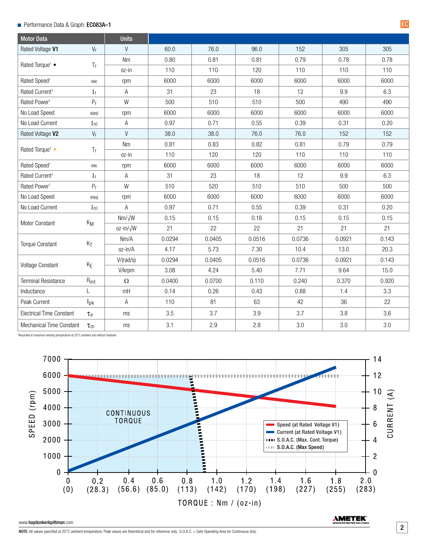# Performance Data & Graph: EC083A–1 EC

| <b>Motor Data</b>               |                      | <b>Units</b>      |        |        |        |        |        |       |
|---------------------------------|----------------------|-------------------|--------|--------|--------|--------|--------|-------|
| Rated Voltage V1                | $V_r$                | V                 | 60.0   | 76.0   | 96.0   | 152    | 305    | 305   |
| Rated Torque <sup>1</sup> •     |                      | Nm                | 0.80   | 0.81   | 0.81   | 0.79   | 0.78   | 0.78  |
|                                 | Tr                   | oz-in             | 110    | 110    | 120    | 110    | 110    | 110   |
| Rated Speed <sup>1</sup>        | $\omega$ r           | rpm               | 6000   | 6000   | 6000   | 6000   | 6000   | 6000  |
| Rated Current <sup>1</sup>      | I <sub>r</sub>       | Α                 | 31     | 23     | 18     | 12     | 9.9    | 6.3   |
| Rated Power <sup>1</sup>        | P <sub>r</sub>       | W                 | 500    | 510    | 510    | 500    | 490    | 490   |
| No Load Speed                   | $\omega_{\text{nl}}$ | rpm               | 6000   | 6000   | 6000   | 6000   | 6000   | 6000  |
| No Load Current                 | $I_{\text{nl}}$      | А                 | 0.97   | 0.71   | 0.55   | 0.39   | 0.31   | 0.20  |
| Rated Voltage V2                | $V_r$                | V                 | 38.0   | 38.0   | 76.0   | 76.0   | 152    | 152   |
| Rated Torque <sup>1</sup> •     | T <sub>r</sub>       | <b>Nm</b>         | 0.81   | 0.83   | 0.82   | 0.81   | 0.79   | 0.79  |
|                                 |                      | oz-in             | 110    | 120    | 120    | 110    | 110    | 110   |
| Rated Speed <sup>1</sup>        | $\omega$ r           | rpm               | 6000   | 6000   | 6000   | 6000   | 6000   | 6000  |
| Rated Current <sup>1</sup>      | I <sub>r</sub>       | A                 | 31     | 23     | 18     | 12     | 9.9    | 6.3   |
| Rated Power <sup>1</sup>        | P <sub>r</sub>       | W                 | 510    | 520    | 510    | 510    | 500    | 500   |
| No Load Speed                   | $\omega_{\text{nl}}$ | rpm               | 6000   | 6000   | 6000   | 6000   | 6000   | 6000  |
| No Load Current                 | $I_{\text{nl}}$      | Α                 | 0.97   | 0.71   | 0.55   | 0.39   | 0.31   | 0.20  |
|                                 | $K_M$                | $Nm/\sqrt{W}$     | 0.15   | 0.15   | 0.16   | 0.15   | 0.15   | 0.15  |
| Motor Constant                  |                      | oz-in/ $\sqrt{W}$ | 21     | 22     | 22     | 21     | 21     | 21    |
|                                 | $K_T$                | Nm/A              | 0.0294 | 0.0405 | 0.0516 | 0.0736 | 0.0921 | 0.143 |
| <b>Torque Constant</b>          |                      | oz-in/A           | 4.17   | 5.73   | 7.30   | 10.4   | 13.0   | 20.3  |
| Voltage Constant                | $K_E$                | V/(rad/s)         | 0.0294 | 0.0405 | 0.0516 | 0.0736 | 0.0921 | 0.143 |
|                                 |                      | V/krpm            | 3.08   | 4.24   | 5.40   | 7.71   | 9.64   | 15.0  |
| <b>Terminal Resistance</b>      | $R_{mt}$             | $\Omega$          | 0.0400 | 0.0700 | 0.110  | 0.240  | 0.370  | 0.920 |
| Inductance                      | L                    | mH                | 0.14   | 0.26   | 0.43   | 0.88   | 1.4    | 3.3   |
| Peak Current                    | $I_{\text{pk}}$      | Α                 | 110    | 81     | 63     | 42     | 36     | 22    |
| <b>Electrical Time Constant</b> | $\tau_{\rm e}$       | ms                | 3.5    | 3.7    | 3.9    | 3.7    | 3.8    | 3.6   |
| <b>Mechanical Time Constant</b> | $\tau_{m}$           | ms                | 3.1    | 2.9    | 2.8    | 3.0    | 3.0    | 3.0   |

1 Recorded at maximum winding temperature at 25°C ambient and without heatsink.



#### www.haydonkerkpittman.com

**AMETEK**<sup>®</sup>

2

NOTE: All values specified at 25°C ambient temperature. Peak values are theoretical and for reference only. S.O.A.C. = Safe Operating Area for Continuous duty.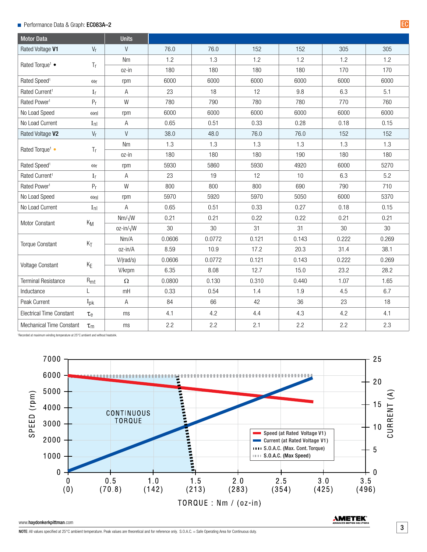# ■ Performance Data & Graph: EC083A–2 EC

| <b>Motor Data</b>               |                      | <b>Units</b>      |        |        |       |       |       |       |
|---------------------------------|----------------------|-------------------|--------|--------|-------|-------|-------|-------|
| Rated Voltage V1                | $V_r$                | V                 | 76.0   | 76.0   | 152   | 152   | 305   | 305   |
| Rated Torque <sup>1</sup> •     |                      | <b>Nm</b>         | 1.2    | 1.3    | 1.2   | 1.2   | 1.2   | 1.2   |
|                                 | Tr                   | oz-in             | 180    | 180    | 180   | 180   | 170   | 170   |
| Rated Speed <sup>1</sup>        | $\omega$ r           | rpm               | 6000   | 6000   | 6000  | 6000  | 6000  | 6000  |
| Rated Current <sup>1</sup>      | I <sub>r</sub>       | Α                 | 23     | 18     | 12    | 9.8   | 6.3   | 5.1   |
| Rated Power <sup>1</sup>        | P <sub>r</sub>       | W                 | 780    | 790    | 780   | 780   | 770   | 760   |
| No Load Speed                   | $\omega_{\text{nl}}$ | rpm               | 6000   | 6000   | 6000  | 6000  | 6000  | 6000  |
| No Load Current                 | $I_{\text{nl}}$      | Α                 | 0.65   | 0.51   | 0.33  | 0.28  | 0.18  | 0.15  |
| Rated Voltage V2                | $V_r$                | $\vee$            | 38.0   | 48.0   | 76.0  | 76.0  | 152   | 152   |
|                                 |                      | <b>Nm</b>         | 1.3    | 1.3    | 1.3   | 1.3   | 1.3   | 1.3   |
| Rated Torque <sup>1</sup> •     | T <sub>r</sub>       | oz-in             | 180    | 180    | 180   | 190   | 180   | 180   |
| Rated Speed <sup>1</sup>        | $\omega$ r           | rpm               | 5930   | 5860   | 5930  | 4920  | 6000  | 5270  |
| Rated Current <sup>1</sup>      | I <sub>r</sub>       | A                 | 23     | 19     | 12    | 10    | 6.3   | 5.2   |
| Rated Power <sup>1</sup>        | P <sub>r</sub>       | W                 | 800    | 800    | 800   | 690   | 790   | 710   |
| No Load Speed                   | $\omega_{\text{nl}}$ | rpm               | 5970   | 5920   | 5970  | 5050  | 6000  | 5370  |
| No Load Current                 | $I_{\text{nl}}$      | A                 | 0.65   | 0.51   | 0.33  | 0.27  | 0.18  | 0.15  |
| Motor Constant                  | $K_M$                | $Nm/\sqrt{W}$     | 0.21   | 0.21   | 0.22  | 0.22  | 0.21  | 0.21  |
|                                 |                      | oz-in/ $\sqrt{W}$ | 30     | 30     | 31    | 31    | 30    | 30    |
| <b>Torque Constant</b>          | $K_T$                | Nm/A              | 0.0606 | 0.0772 | 0.121 | 0.143 | 0.222 | 0.269 |
|                                 |                      | oz-in/A           | 8.59   | 10.9   | 17.2  | 20.3  | 31.4  | 38.1  |
| Voltage Constant                | $K_{\mathsf E}$      | V/(rad/s)         | 0.0606 | 0.0772 | 0.121 | 0.143 | 0.222 | 0.269 |
|                                 |                      | V/krpm            | 6.35   | 8.08   | 12.7  | 15.0  | 23.2  | 28.2  |
| <b>Terminal Resistance</b>      | $R_{mt}$             | $\Omega$          | 0.0800 | 0.130  | 0.310 | 0.440 | 1.07  | 1.65  |
| Inductance                      | L                    | mH                | 0.33   | 0.54   | 1.4   | 1.9   | 4.5   | 6.7   |
| Peak Current                    | $I_{\text{pk}}$      | A                 | 84     | 66     | 42    | 36    | 23    | 18    |
| <b>Electrical Time Constant</b> | $\tau_{\rm e}$       | ms                | 4.1    | 4.2    | 4.4   | 4.3   | 4.2   | 4.1   |
| <b>Mechanical Time Constant</b> | $\tau_{m}$           | ms                | 2.2    | 2.2    | 2.1   | 2.2   | 2.2   | 2.3   |

1 Recorded at maximum winding temperature at 25°C ambient and without heatsink.



#### www.haydonkerkpittman.com

**AMETEK**<sup>®</sup>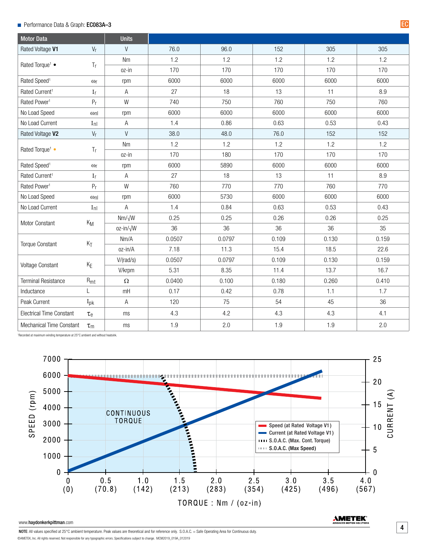## **Performance Data & Graph: EC083A-3**

| <b>Motor Data</b>               |                      | <b>Units</b>      |        |        |       |       |       |
|---------------------------------|----------------------|-------------------|--------|--------|-------|-------|-------|
| Rated Voltage V1                | $V_r$                | $\vee$            | 76.0   | 96.0   | 152   | 305   | 305   |
| Rated Torque <sup>1</sup> •     |                      | Nm                | 1.2    | 1.2    | 1.2   | 1.2   | 1.2   |
|                                 | Tr                   | oz-in             | 170    | 170    | 170   | 170   | 170   |
| Rated Speed <sup>1</sup>        | $\omega$ r           | rpm               | 6000   | 6000   | 6000  | 6000  | 6000  |
| Rated Current <sup>1</sup>      | I <sub>r</sub>       | Α                 | 27     | 18     | 13    | 11    | 8.9   |
| Rated Power <sup>1</sup>        | P <sub>r</sub>       | W                 | 740    | 750    | 760   | 750   | 760   |
| No Load Speed                   | $\omega_{\text{nl}}$ | rpm               | 6000   | 6000   | 6000  | 6000  | 6000  |
| No Load Current                 | $I_{\text{nl}}$      | Α                 | 1.4    | 0.86   | 0.63  | 0.53  | 0.43  |
| Rated Voltage V2                | $V_r$                | V                 | 38.0   | 48.0   | 76.0  | 152   | 152   |
| Rated Torque <sup>1</sup> •     | T <sub>r</sub>       | Nm                | 1.2    | 1.2    | 1.2   | 1.2   | 1.2   |
|                                 |                      | oz-in             | 170    | 180    | 170   | 170   | 170   |
| Rated Speed <sup>1</sup>        | $\omega$ r           | rpm               | 6000   | 5890   | 6000  | 6000  | 6000  |
| Rated Current <sup>1</sup>      | I <sub>r</sub>       | Α                 | 27     | 18     | 13    | 11    | 8.9   |
| Rated Power <sup>1</sup>        | P <sub>r</sub>       | W                 | 760    | 770    | 770   | 760   | 770   |
| No Load Speed                   | $\omega_{\text{nl}}$ | rpm               | 6000   | 5730   | 6000  | 6000  | 6000  |
| No Load Current                 | $I_{\text{nl}}$      | Α                 | 1.4    | 0.84   | 0.63  | 0.53  | 0.43  |
| Motor Constant                  | $K_M$                | $Nm/\sqrt{W}$     | 0.25   | 0.25   | 0.26  | 0.26  | 0.25  |
|                                 |                      | oz-in/ $\sqrt{W}$ | 36     | 36     | 36    | 36    | 35    |
|                                 |                      | Nm/A              | 0.0507 | 0.0797 | 0.109 | 0.130 | 0.159 |
| <b>Torque Constant</b>          | $K_T$                | oz-in/A           | 7.18   | 11.3   | 15.4  | 18.5  | 22.6  |
|                                 | $K_E$                | V/(rad/s)         | 0.0507 | 0.0797 | 0.109 | 0.130 | 0.159 |
| Voltage Constant                |                      | V/krpm            | 5.31   | 8.35   | 11.4  | 13.7  | 16.7  |
| <b>Terminal Resistance</b>      | $R_{mt}$             | $\Omega$          | 0.0400 | 0.100  | 0.180 | 0.260 | 0.410 |
| Inductance                      | L                    | mH                | 0.17   | 0.42   | 0.78  | 1.1   | 1.7   |
| Peak Current                    | $I_{\text{pk}}$      | Α                 | 120    | 75     | 54    | 45    | 36    |
| <b>Electrical Time Constant</b> | $\tau_{\rm e}$       | ms                | 4.3    | 4.2    | 4.3   | 4.3   | 4.1   |
| <b>Mechanical Time Constant</b> | $\tau_m$             | ms                | 1.9    | 2.0    | 1.9   | 1.9   | 2.0   |

1 Recorded at maximum winding temperature at 25°C ambient and without heatsink.



#### www.haydonkerkpittman.com

**AMETEK**<sup>®</sup>

EC

NOTE: All values specified at 25°C ambient temperature. Peak values are theoretical and for reference only. S.O.A.C. = Safe Operating Area for Continuous duty. ©AMETEK, Inc. All rights reserved. Not responsible for any typographic errors. Specifications subject to change. MCM2019\_019A\_012019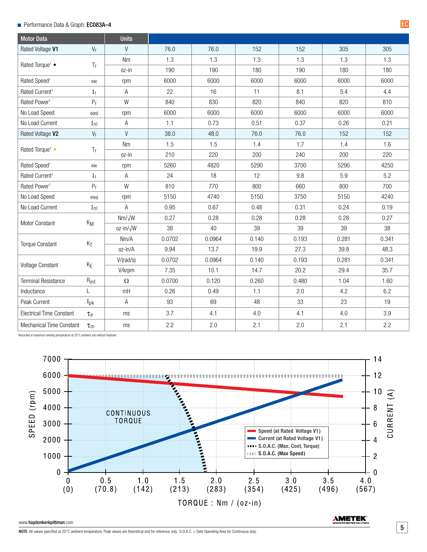# ■ Performance Data & Graph: EC083A–4 EC

| <b>Motor Data</b>               |                      | <b>Units</b>      |        |        |       |       |       |       |
|---------------------------------|----------------------|-------------------|--------|--------|-------|-------|-------|-------|
| Rated Voltage V1                | $V_r$                | V                 | 76.0   | 76.0   | 152   | 152   | 305   | 305   |
| Rated Torque <sup>1</sup> •     |                      | Nm                | 1.3    | 1.3    | 1.3   | 1.3   | 1.3   | 1.3   |
|                                 | Tr                   | oz-in             | 190    | 190    | 180   | 190   | 180   | 180   |
| Rated Speed <sup>1</sup>        | $\omega$ r           | rpm               | 6000   | 6000   | 6000  | 6000  | 6000  | 6000  |
| Rated Current <sup>1</sup>      | I <sub>r</sub>       | Α                 | 22     | 16     | 11    | 8.1   | 5.4   | 4.4   |
| Rated Power <sup>1</sup>        | P <sub>r</sub>       | W                 | 840    | 830    | 820   | 840   | 820   | 810   |
| No Load Speed                   | $\omega$ nl          | rpm               | 6000   | 6000   | 6000  | 6000  | 6000  | 6000  |
| No Load Current                 | $I_{\text{nl}}$      | Α                 | 1.1    | 0.73   | 0.51  | 0.37  | 0.26  | 0.21  |
| Rated Voltage V2                | $V_r$                | $\vee$            | 38.0   | 48.0   | 76.0  | 76.0  | 152   | 152   |
| Rated Torque <sup>1</sup> •     | T <sub>r</sub>       | <b>Nm</b>         | 1.5    | 1.5    | 1.4   | 1.7   | 1.4   | 1.6   |
|                                 |                      | oz-in             | 210    | 220    | 200   | 240   | 200   | 220   |
| Rated Speed <sup>1</sup>        | $\omega$ r           | rpm               | 5260   | 4820   | 5290  | 3700  | 5290  | 4250  |
| Rated Current <sup>1</sup>      | I <sub>r</sub>       | A                 | 24     | 18     | 12    | 9.8   | 5.9   | 5.2   |
| Rated Power <sup>1</sup>        | P <sub>r</sub>       | W                 | 810    | 770    | 800   | 660   | 800   | 700   |
| No Load Speed                   | $\omega_{\text{nl}}$ | rpm               | 5150   | 4740   | 5150  | 3750  | 5150  | 4240  |
| No Load Current                 | $I_{\text{nl}}$      | A                 | 0.95   | 0.67   | 0.48  | 0.31  | 0.24  | 0.19  |
| Motor Constant                  | $K_M$                | $Nm/\sqrt{W}$     | 0.27   | 0.28   | 0.28  | 0.28  | 0.28  | 0.27  |
|                                 |                      | oz-in/ $\sqrt{W}$ | 38     | 40     | 39    | 39    | 39    | 38    |
| <b>Torque Constant</b>          | $K_T$                | Nm/A              | 0.0702 | 0.0964 | 0.140 | 0.193 | 0.281 | 0.341 |
|                                 |                      | oz-in/A           | 9.94   | 13.7   | 19.9  | 27.3  | 39.8  | 48.3  |
| Voltage Constant                | $K_E$                | V/(rad/s)         | 0.0702 | 0.0964 | 0.140 | 0.193 | 0.281 | 0.341 |
|                                 |                      | V/krpm            | 7.35   | 10.1   | 14.7  | 20.2  | 29.4  | 35.7  |
| <b>Terminal Resistance</b>      | $R_{mt}$             | $\Omega$          | 0.0700 | 0.120  | 0.260 | 0.480 | 1.04  | 1.60  |
| Inductance                      | L                    | mH                | 0.26   | 0.49   | 1.1   | 2.0   | 4.2   | 6.2   |
| Peak Current                    | $I_{\text{pk}}$      | Α                 | 93     | 69     | 48    | 33    | 23    | 19    |
| <b>Electrical Time Constant</b> | $\tau_{\rm e}$       | ms                | 3.7    | 4.1    | 4.0   | 4.1   | 4.0   | 3.9   |
| <b>Mechanical Time Constant</b> | $\tau_{m}$           | ms                | 2.2    | 2.0    | 2.1   | 2.0   | 2.1   | 2.2   |

1 Recorded at maximum winding temperature at 25°C ambient and without heatsink.



### www.haydonkerkpittman.com

**AMETEK**<sup>®</sup>

5

NOTE: All values specified at 25°C ambient temperature. Peak values are theoretical and for reference only. S.O.A.C. = Safe Operating Area for Continuous duty.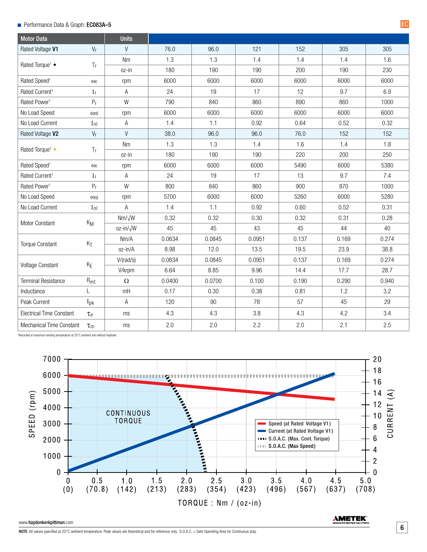# Performance Data & Graph: EC083A–5 EC

| <b>Motor Data</b>                 |                      | <b>Units</b>      |        |        |        |       |       |       |
|-----------------------------------|----------------------|-------------------|--------|--------|--------|-------|-------|-------|
| Rated Voltage V1                  | $V_r$                | V                 | 76.0   | 96.0   | 121    | 152   | 305   | 305   |
| Rated Torque <sup>1</sup> •<br>Tr |                      | <b>Nm</b>         | 1.3    | 1.3    | 1.4    | 1.4   | 1.4   | 1.6   |
|                                   |                      | oz-in             | 180    | 190    | 190    | 200   | 190   | 230   |
| Rated Speed <sup>1</sup>          | $\omega$ r           | rpm               | 6000   | 6000   | 6000   | 6000  | 6000  | 6000  |
| Rated Current <sup>1</sup>        | I <sub>r</sub>       | Α                 | 24     | 19     | 17     | 12    | 9.7   | 6.9   |
| Rated Power <sup>1</sup>          | P <sub>r</sub>       | W                 | 790    | 840    | 860    | 890   | 860   | 1000  |
| No Load Speed                     | $\omega_{\text{nl}}$ | rpm               | 6000   | 6000   | 6000   | 6000  | 6000  | 6000  |
| No Load Current                   | $I_{\text{nl}}$      | Α                 | 1.4    | 1.1    | 0.92   | 0.64  | 0.52  | 0.32  |
| Rated Voltage V2                  | $V_r$                | $\vee$            | 38.0   | 96.0   | 96.0   | 76.0  | 152   | 152   |
|                                   |                      | <b>Nm</b>         | 1.3    | 1.3    | 1.4    | 1.6   | 1.4   | 1.8   |
| Rated Torque <sup>1</sup> •       | T <sub>r</sub>       | oz-in             | 180    | 190    | 190    | 220   | 200   | 250   |
| Rated Speed <sup>1</sup>          | $\omega$ r           | rpm               | 6000   | 6000   | 6000   | 5490  | 6000  | 5380  |
| Rated Current <sup>1</sup>        | I <sub>r</sub>       | Α                 | 24     | 19     | 17     | 13    | 9.7   | 7.4   |
| Rated Power <sup>1</sup>          | P <sub>r</sub>       | W                 | 800    | 840    | 860    | 900   | 870   | 1000  |
| No Load Speed                     | $\omega_{\text{nl}}$ | rpm               | 5700   | 6000   | 6000   | 5260  | 6000  | 5280  |
| No Load Current                   | $I_{\text{nl}}$      | А                 | 1.4    | 1.1    | 0.92   | 0.60  | 0.52  | 0.31  |
| Motor Constant                    | $K_M$                | $Nm/\sqrt{W}$     | 0.32   | 0.32   | 0.30   | 0.32  | 0.31  | 0.28  |
|                                   |                      | oz-in/ $\sqrt{W}$ | 45     | 45     | 43     | 45    | 44    | 40    |
|                                   | $K_T$                | Nm/A              | 0.0634 | 0.0845 | 0.0951 | 0.137 | 0.169 | 0.274 |
| <b>Torque Constant</b>            |                      | oz-in/A           | 8.98   | 12.0   | 13.5   | 19.5  | 23.9  | 38.8  |
|                                   | $K_E$                | V/(rad/s)         | 0.0634 | 0.0845 | 0.0951 | 0.137 | 0.169 | 0.274 |
| <b>Voltage Constant</b>           |                      | V/krpm            | 6.64   | 8.85   | 9.96   | 14.4  | 17.7  | 28.7  |
| <b>Terminal Resistance</b>        | $R_{mt}$             | $\Omega$          | 0.0400 | 0.0700 | 0.100  | 0.190 | 0.290 | 0.940 |
| Inductance                        | L                    | mH                | 0.17   | 0.30   | 0.38   | 0.81  | 1.2   | 3.2   |
| Peak Current                      | $I_{\text{pk}}$      | A                 | 120    | 90     | 78     | 57    | 45    | 29    |
| <b>Electrical Time Constant</b>   | $\tau_{\rm e}$       | ms                | 4.3    | 4.3    | 3.8    | 4.3   | 4.2   | 3.4   |
| <b>Mechanical Time Constant</b>   | $\tau_{m}$           | ms                | 2.0    | 2.0    | 2.2    | 2.0   | 2.1   | 2.5   |

1 Recorded at maximum winding temperature at 25°C ambient and without heatsink.



#### www.haydonkerkpittman.com

**AMETEK**<sup>®</sup>

6

NOTE: All values specified at 25°C ambient temperature. Peak values are theoretical and for reference only. S.O.A.C. = Safe Operating Area for Continuous duty.